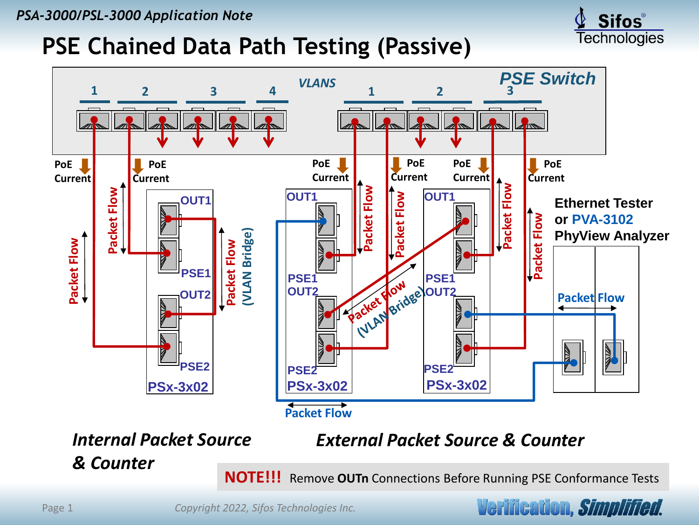## **PSE Chained Data Path Testing (Passive)**





*Internal Packet Source & Counter*

*External Packet Source & Counter*

**NOTE!!!** Remove **OUTn** Connections Before Running PSE Conformance Tests

Verification, *Simplified*.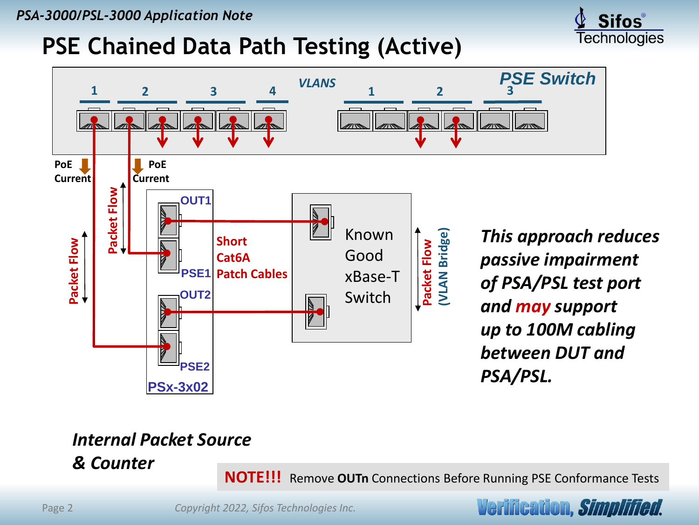## **PSE Chained Data Path Testing (Active)**



### *Internal Packet Source*

*& Counter*

**NOTE!!!** Remove **OUTn** Connections Before Running PSE Conformance Tests

Verification, *Simplified*.

**Sifos**® Technologies

Page 2 *Copyright 2022, Sifos Technologies Inc.*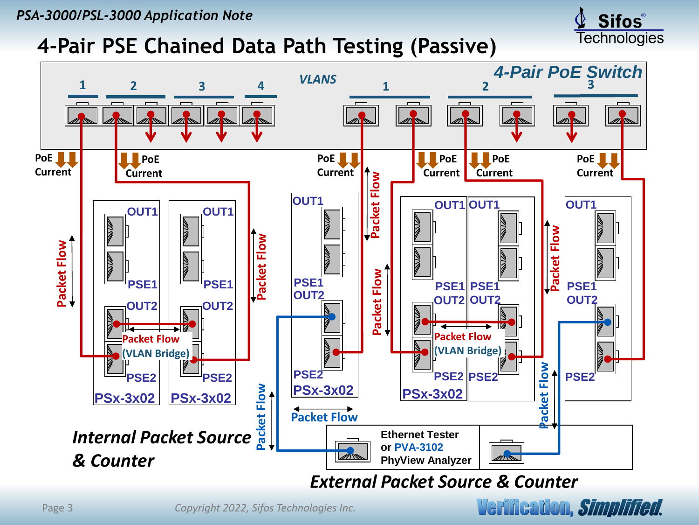*PSA-3000/PSL-3000 Application Note*

### **4-Pair PSE Chained Data Path Testing (Passive)**



Page 3 *Copyright 2022, Sifos Technologies Inc.*



**Sifos**® **Technologies**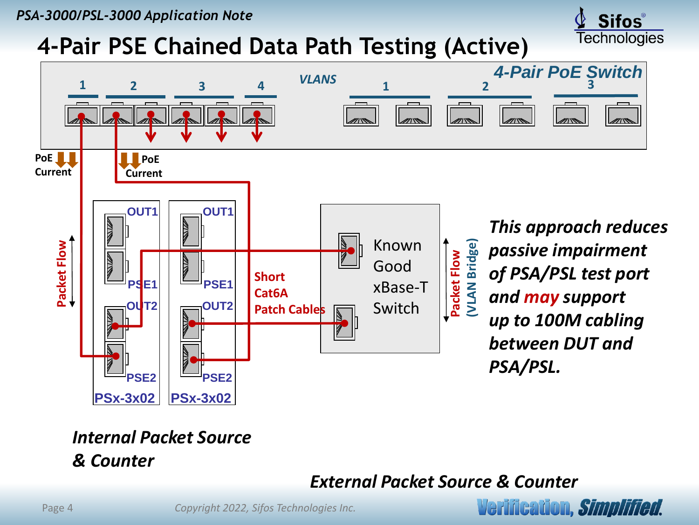## **4-Pair PSE Chained Data Path Testing (Active)**



#### *Internal Packet Source & Counter*

**Verification, Simplified.** 

**Sifos**® **Technologies**